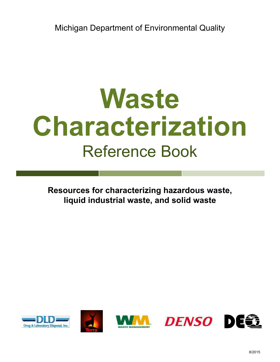Michigan Department of Environmental Quality

# **Waste Characterization** Reference Book

**Resources for characterizing hazardous waste, liquid industrial waste, and solid waste**









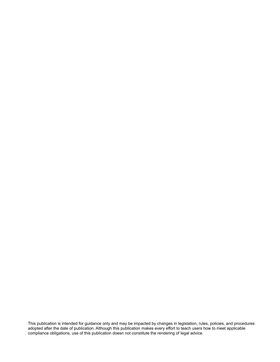This publication is intended for guidance only and may be impacted by changes in legislation, rules, policies, and procedures adopted after the date of publication. Although this publication makes every effort to teach users how to meet applicable compliance obligations, use of this publication doesn not constitute the rendering of legal advice.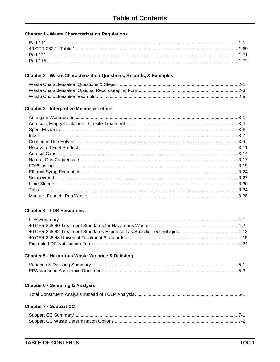# **Chapter 1 - Waste Characterization Regulations**

| Part 11 |  |
|---------|--|
|         |  |
|         |  |
|         |  |
|         |  |

# **Chapter 2 - Waste Characterization Questions, Records, & Examples**

#### **Chapter 3 - Interpretive Memos & Letters**

# **Chapter 4 - LDR Resources**

| 4-13. 4-13. 4-12. 4-12. 4-12. 4-12. 4-12. 4-12. 4-12. 4-12. 4-12. 4-13. 4-14. 4-14. 4-14. 4-12. 4-12 |  |
|------------------------------------------------------------------------------------------------------|--|
|                                                                                                      |  |
|                                                                                                      |  |

# **Chapter 5 - Hazardous Waste Variance & Delisting**

# **Chapter 6 - Sampling & Analysis**

|--|--|

#### **Chapter 7 - Subpart CC**